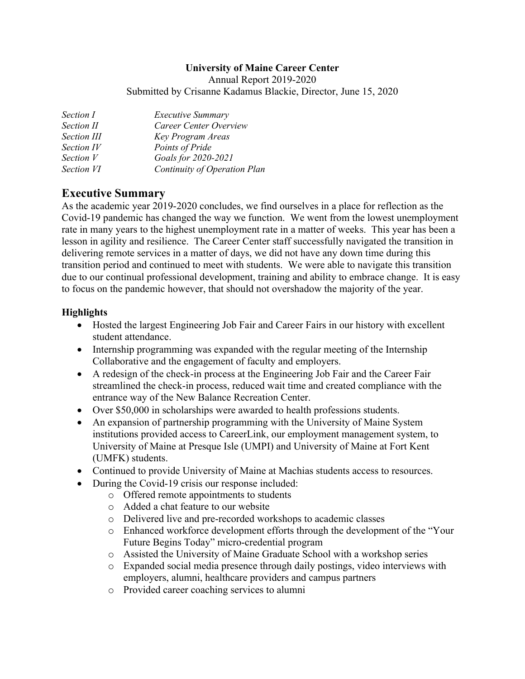#### **University of Maine Career Center**

Annual Report 2019-2020

Submitted by Crisanne Kadamus Blackie, Director, June 15, 2020

| <i>Section I</i>   | <b>Executive Summary</b>     |
|--------------------|------------------------------|
| Section II         | Career Center Overview       |
| <b>Section III</b> | <b>Key Program Areas</b>     |
| Section IV         | Points of Pride              |
| Section V          | Goals for 2020-2021          |
| Section VI         | Continuity of Operation Plan |

## **Executive Summary**

As the academic year 2019-2020 concludes, we find ourselves in a place for reflection as the Covid-19 pandemic has changed the way we function. We went from the lowest unemployment rate in many years to the highest unemployment rate in a matter of weeks. This year has been a lesson in agility and resilience. The Career Center staff successfully navigated the transition in delivering remote services in a matter of days, we did not have any down time during this transition period and continued to meet with students. We were able to navigate this transition due to our continual professional development, training and ability to embrace change. It is easy to focus on the pandemic however, that should not overshadow the majority of the year.

#### **Highlights**

- Hosted the largest Engineering Job Fair and Career Fairs in our history with excellent student attendance.
- Internship programming was expanded with the regular meeting of the Internship Collaborative and the engagement of faculty and employers.
- A redesign of the check-in process at the Engineering Job Fair and the Career Fair streamlined the check-in process, reduced wait time and created compliance with the entrance way of the New Balance Recreation Center.
- Over \$50,000 in scholarships were awarded to health professions students.
- An expansion of partnership programming with the University of Maine System institutions provided access to CareerLink, our employment management system, to University of Maine at Presque Isle (UMPI) and University of Maine at Fort Kent (UMFK) students.
- Continued to provide University of Maine at Machias students access to resources.
- During the Covid-19 crisis our response included:
	- o Offered remote appointments to students
	- o Added a chat feature to our website
	- o Delivered live and pre-recorded workshops to academic classes
	- o Enhanced workforce development efforts through the development of the "Your Future Begins Today" micro-credential program
	- o Assisted the University of Maine Graduate School with a workshop series
	- o Expanded social media presence through daily postings, video interviews with employers, alumni, healthcare providers and campus partners
	- o Provided career coaching services to alumni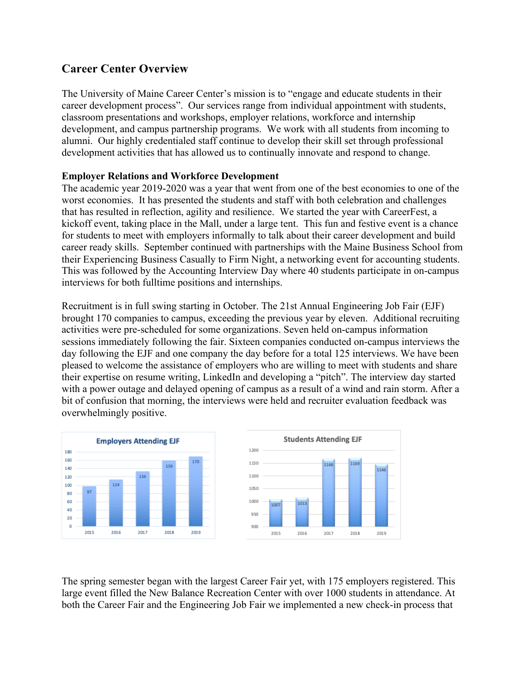# **Career Center Overview**

The University of Maine Career Center's mission is to "engage and educate students in their career development process". Our services range from individual appointment with students, classroom presentations and workshops, employer relations, workforce and internship development, and campus partnership programs. We work with all students from incoming to alumni. Our highly credentialed staff continue to develop their skill set through professional development activities that has allowed us to continually innovate and respond to change.

#### **Employer Relations and Workforce Development**

The academic year 2019-2020 was a year that went from one of the best economies to one of the worst economies. It has presented the students and staff with both celebration and challenges that has resulted in reflection, agility and resilience. We started the year with CareerFest, a kickoff event, taking place in the Mall, under a large tent. This fun and festive event is a chance for students to meet with employers informally to talk about their career development and build career ready skills. September continued with partnerships with the Maine Business School from their Experiencing Business Casually to Firm Night, a networking event for accounting students. This was followed by the Accounting Interview Day where 40 students participate in on-campus interviews for both fulltime positions and internships.

Recruitment is in full swing starting in October. The 21st Annual Engineering Job Fair (EJF) brought 170 companies to campus, exceeding the previous year by eleven. Additional recruiting activities were pre-scheduled for some organizations. Seven held on-campus information sessions immediately following the fair. Sixteen companies conducted on-campus interviews the day following the EJF and one company the day before for a total 125 interviews. We have been pleased to welcome the assistance of employers who are willing to meet with students and share their expertise on resume writing, LinkedIn and developing a "pitch". The interview day started with a power outage and delayed opening of campus as a result of a wind and rain storm. After a bit of confusion that morning, the interviews were held and recruiter evaluation feedback was overwhelmingly positive.



The spring semester began with the largest Career Fair yet, with 175 employers registered. This large event filled the New Balance Recreation Center with over 1000 students in attendance. At both the Career Fair and the Engineering Job Fair we implemented a new check-in process that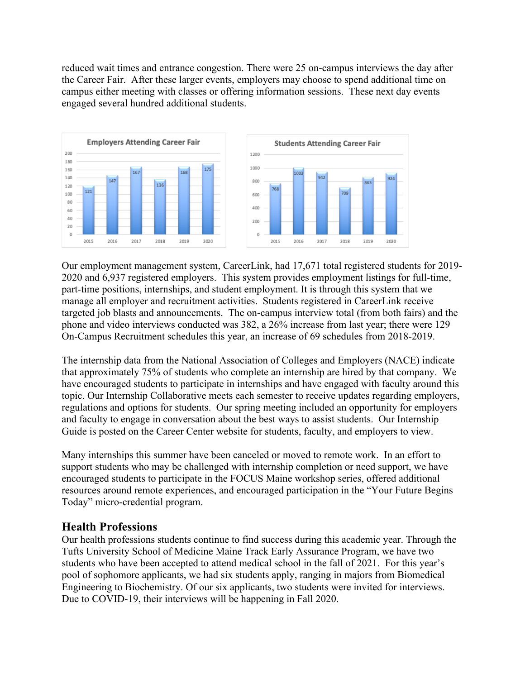reduced wait times and entrance congestion. There were 25 on-campus interviews the day after the Career Fair. After these larger events, employers may choose to spend additional time on campus either meeting with classes or offering information sessions. These next day events engaged several hundred additional students.



Our employment management system, CareerLink, had 17,671 total registered students for 2019- 2020 and 6,937 registered employers. This system provides employment listings for full-time, part-time positions, internships, and student employment. It is through this system that we manage all employer and recruitment activities. Students registered in CareerLink receive targeted job blasts and announcements. The on-campus interview total (from both fairs) and the phone and video interviews conducted was 382, a 26% increase from last year; there were 129 On-Campus Recruitment schedules this year, an increase of 69 schedules from 2018-2019.

The internship data from the National Association of Colleges and Employers (NACE) indicate that approximately 75% of students who complete an internship are hired by that company. We have encouraged students to participate in internships and have engaged with faculty around this topic. Our Internship Collaborative meets each semester to receive updates regarding employers, regulations and options for students. Our spring meeting included an opportunity for employers and faculty to engage in conversation about the best ways to assist students. Our Internship Guide is posted on the Career Center website for students, faculty, and employers to view.

Many internships this summer have been canceled or moved to remote work. In an effort to support students who may be challenged with internship completion or need support, we have encouraged students to participate in the FOCUS Maine workshop series, offered additional resources around remote experiences, and encouraged participation in the "Your Future Begins Today" micro-credential program.

#### **Health Professions**

Our health professions students continue to find success during this academic year. Through the Tufts University School of Medicine Maine Track Early Assurance Program, we have two students who have been accepted to attend medical school in the fall of 2021. For this year's pool of sophomore applicants, we had six students apply, ranging in majors from Biomedical Engineering to Biochemistry. Of our six applicants, two students were invited for interviews. Due to COVID-19, their interviews will be happening in Fall 2020.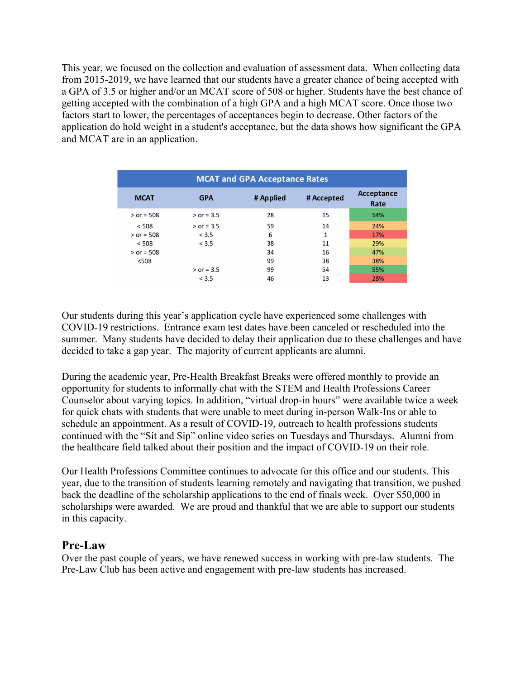This year, we focused on the collection and evaluation of assessment data. When collecting data from 2015-2019, we have learned that our students have a greater chance of being accepted with a GPA of 3.5 or higher and/or an MCAT score of 508 or higher. Students have the best chance of getting accepted with the combination of a high GPA and a high MCAT score. Once those two factors start to lower, the percentages of acceptances begin to decrease. Other factors of the application do hold weight in a student's acceptance, but the data shows how significant the GPA and MCAT are in an application.

| <b>MCAT and GPA Acceptance Rates</b> |              |           |            |                    |  |  |
|--------------------------------------|--------------|-----------|------------|--------------------|--|--|
| <b>MCAT</b>                          | <b>GPA</b>   | # Applied | # Accepted | Acceptance<br>Rate |  |  |
| $>$ or = 508                         | $>$ or = 3.5 | 28        | 15         | 54%                |  |  |
| < 508                                | $>$ or = 3.5 | 59        | 14         | 24%                |  |  |
| $>$ or = 508                         | < 3.5        | 6         | 1          | 17%                |  |  |
| < 508                                | < 3.5        | 38        | 11         | 29%                |  |  |
| $>$ or = 508                         |              | 34        | 16         | 47%                |  |  |
| < 508                                |              | 99        | 38         | 38%                |  |  |
|                                      | $>$ or = 3.5 | 99        | 54         | 55%                |  |  |
|                                      | < 3.5        | 46        | 13         | 28%                |  |  |

Our students during this year's application cycle have experienced some challenges with COVID-19 restrictions. Entrance exam test dates have been canceled or rescheduled into the summer. Many students have decided to delay their application due to these challenges and have decided to take a gap year. The majority of current applicants are alumni.

During the academic year, Pre-Health Breakfast Breaks were offered monthly to provide an opportunity for students to informally chat with the STEM and Health Professions Career Counselor about varying topics. In addition, "virtual drop-in hours" were available twice a week for quick chats with students that were unable to meet during in-person Walk-Ins or able to schedule an appointment. As a result of COVID-19, outreach to health professions students continued with the "Sit and Sip" online video series on Tuesdays and Thursdays. Alumni from the healthcare field talked about their position and the impact of COVID-19 on their role.

Our Health Professions Committee continues to advocate for this office and our students. This year, due to the transition of students learning remotely and navigating that transition, we pushed back the deadline of the scholarship applications to the end of finals week. Over \$50,000 in scholarships were awarded. We are proud and thankful that we are able to support our students in this capacity.

#### **Pre-Law**

Over the past couple of years, we have renewed success in working with pre-law students. The Pre-Law Club has been active and engagement with pre-law students has increased.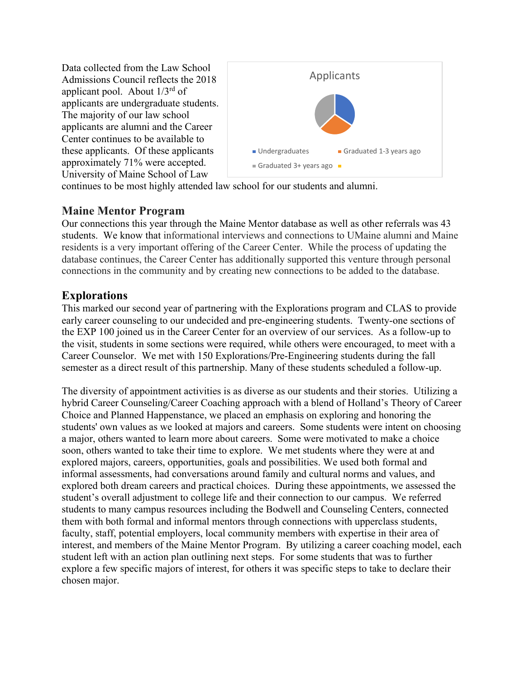Data collected from the Law School Admissions Council reflects the 2018 applicant pool. About 1/3rd of applicants are undergraduate students. The majority of our law school applicants are alumni and the Career Center continues to be available to these applicants. Of these applicants approximately 71% were accepted. University of Maine School of Law



continues to be most highly attended law school for our students and alumni.

#### **Maine Mentor Program**

Our connections this year through the Maine Mentor database as well as other referrals was 43 students. We know that informational interviews and connections to UMaine alumni and Maine residents is a very important offering of the Career Center. While the process of updating the database continues, the Career Center has additionally supported this venture through personal connections in the community and by creating new connections to be added to the database.

#### **Explorations**

This marked our second year of partnering with the Explorations program and CLAS to provide early career counseling to our undecided and pre-engineering students. Twenty-one sections of the EXP 100 joined us in the Career Center for an overview of our services. As a follow-up to the visit, students in some sections were required, while others were encouraged, to meet with a Career Counselor. We met with 150 Explorations/Pre-Engineering students during the fall semester as a direct result of this partnership. Many of these students scheduled a follow-up.

The diversity of appointment activities is as diverse as our students and their stories. Utilizing a hybrid Career Counseling/Career Coaching approach with a blend of Holland's Theory of Career Choice and Planned Happenstance, we placed an emphasis on exploring and honoring the students' own values as we looked at majors and careers. Some students were intent on choosing a major, others wanted to learn more about careers. Some were motivated to make a choice soon, others wanted to take their time to explore. We met students where they were at and explored majors, careers, opportunities, goals and possibilities. We used both formal and informal assessments, had conversations around family and cultural norms and values, and explored both dream careers and practical choices. During these appointments, we assessed the student's overall adjustment to college life and their connection to our campus. We referred students to many campus resources including the Bodwell and Counseling Centers, connected them with both formal and informal mentors through connections with upperclass students, faculty, staff, potential employers, local community members with expertise in their area of interest, and members of the Maine Mentor Program. By utilizing a career coaching model, each student left with an action plan outlining next steps. For some students that was to further explore a few specific majors of interest, for others it was specific steps to take to declare their chosen major.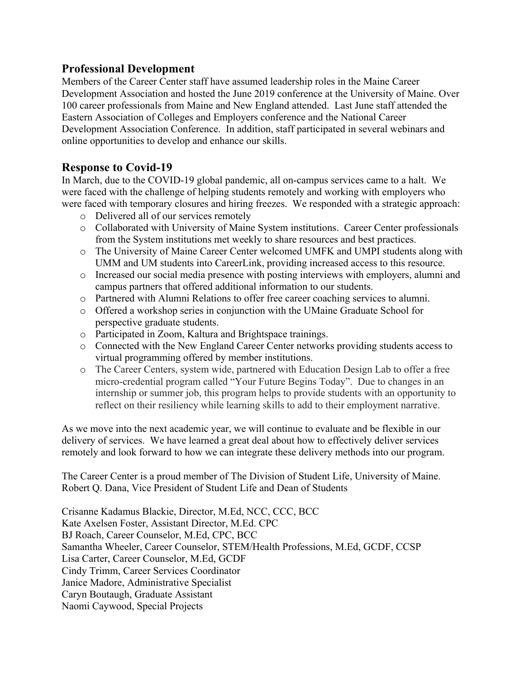#### **Professional Development**

Members of the Career Center staff have assumed leadership roles in the Maine Career Development Association and hosted the June 2019 conference at the University of Maine. Over 100 career professionals from Maine and New England attended. Last June staff attended the Eastern Association of Colleges and Employers conference and the National Career Development Association Conference. In addition, staff participated in several webinars and online opportunities to develop and enhance our skills.

## **Response to Covid-19**

In March, due to the COVID-19 global pandemic, all on-campus services came to a halt. We were faced with the challenge of helping students remotely and working with employers who were faced with temporary closures and hiring freezes. We responded with a strategic approach:

- o Delivered all of our services remotely
- o Collaborated with University of Maine System institutions. Career Center professionals from the System institutions met weekly to share resources and best practices.
- o The University of Maine Career Center welcomed UMFK and UMPI students along with UMM and UM students into CareerLink, providing increased access to this resource.
- o Increased our social media presence with posting interviews with employers, alumni and campus partners that offered additional information to our students.
- o Partnered with Alumni Relations to offer free career coaching services to alumni.
- o Offered a workshop series in conjunction with the UMaine Graduate School for perspective graduate students.
- o Participated in Zoom, Kaltura and Brightspace trainings.
- o Connected with the New England Career Center networks providing students access to virtual programming offered by member institutions.
- o The Career Centers, system wide, partnered with Education Design Lab to offer a free micro-credential program called "Your Future Begins Today". Due to changes in an internship or summer job, this program helps to provide students with an opportunity to reflect on their resiliency while learning skills to add to their employment narrative.

As we move into the next academic year, we will continue to evaluate and be flexible in our delivery of services. We have learned a great deal about how to effectively deliver services remotely and look forward to how we can integrate these delivery methods into our program.

The Career Center is a proud member of The Division of Student Life, University of Maine. Robert Q. Dana, Vice President of Student Life and Dean of Students

Crisanne Kadamus Blackie, Director, M.Ed, NCC, CCC, BCC Kate Axelsen Foster, Assistant Director, M.Ed. CPC BJ Roach, Career Counselor, M.Ed, CPC, BCC Samantha Wheeler, Career Counselor, STEM/Health Professions, M.Ed, GCDF, CCSP Lisa Carter, Career Counselor, M.Ed, GCDF Cindy Trimm, Career Services Coordinator Janice Madore, Administrative Specialist Caryn Boutaugh, Graduate Assistant Naomi Caywood, Special Projects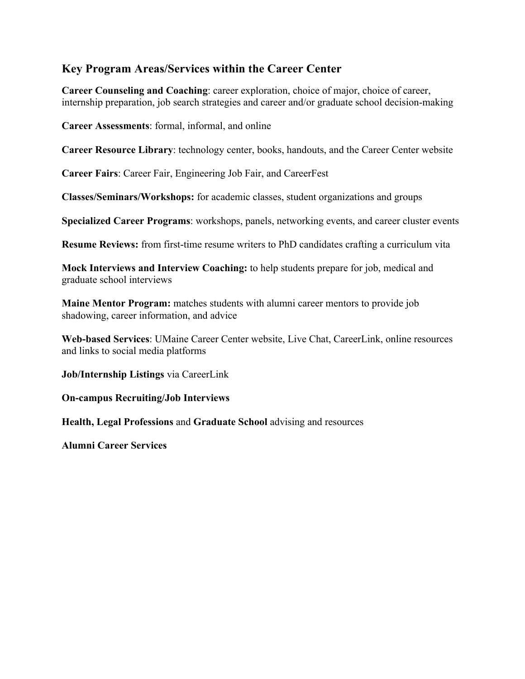## **Key Program Areas/Services within the Career Center**

**Career Counseling and Coaching**: career exploration, choice of major, choice of career, internship preparation, job search strategies and career and/or graduate school decision-making

**Career Assessments**: formal, informal, and online

**Career Resource Library**: technology center, books, handouts, and the Career Center website

**Career Fairs**: Career Fair, Engineering Job Fair, and CareerFest

**Classes/Seminars/Workshops:** for academic classes, student organizations and groups

**Specialized Career Programs**: workshops, panels, networking events, and career cluster events

**Resume Reviews:** from first-time resume writers to PhD candidates crafting a curriculum vita

**Mock Interviews and Interview Coaching:** to help students prepare for job, medical and graduate school interviews

**Maine Mentor Program:** matches students with alumni career mentors to provide job shadowing, career information, and advice

**Web-based Services**: UMaine Career Center website, Live Chat, CareerLink, online resources and links to social media platforms

**Job/Internship Listings** via CareerLink

**On-campus Recruiting/Job Interviews**

**Health, Legal Professions** and **Graduate School** advising and resources

**Alumni Career Services**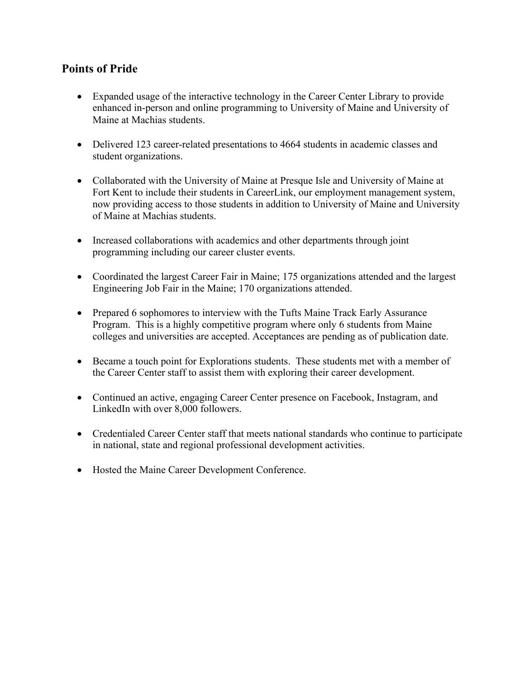## **Points of Pride**

- Expanded usage of the interactive technology in the Career Center Library to provide enhanced in-person and online programming to University of Maine and University of Maine at Machias students.
- Delivered 123 career-related presentations to 4664 students in academic classes and student organizations.
- Collaborated with the University of Maine at Presque Isle and University of Maine at Fort Kent to include their students in CareerLink, our employment management system, now providing access to those students in addition to University of Maine and University of Maine at Machias students.
- Increased collaborations with academics and other departments through joint programming including our career cluster events.
- Coordinated the largest Career Fair in Maine; 175 organizations attended and the largest Engineering Job Fair in the Maine; 170 organizations attended.
- Prepared 6 sophomores to interview with the Tufts Maine Track Early Assurance Program. This is a highly competitive program where only 6 students from Maine colleges and universities are accepted. Acceptances are pending as of publication date.
- Became a touch point for Explorations students. These students met with a member of the Career Center staff to assist them with exploring their career development.
- Continued an active, engaging Career Center presence on Facebook, Instagram, and LinkedIn with over 8,000 followers.
- Credentialed Career Center staff that meets national standards who continue to participate in national, state and regional professional development activities.
- Hosted the Maine Career Development Conference.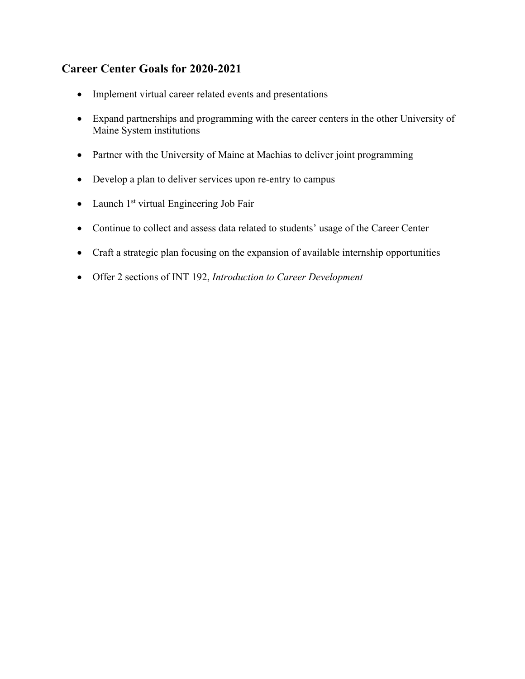# **Career Center Goals for 2020-2021**

- Implement virtual career related events and presentations
- Expand partnerships and programming with the career centers in the other University of Maine System institutions
- Partner with the University of Maine at Machias to deliver joint programming
- Develop a plan to deliver services upon re-entry to campus
- Launch  $1<sup>st</sup>$  virtual Engineering Job Fair
- Continue to collect and assess data related to students' usage of the Career Center
- Craft a strategic plan focusing on the expansion of available internship opportunities
- Offer 2 sections of INT 192, *Introduction to Career Development*